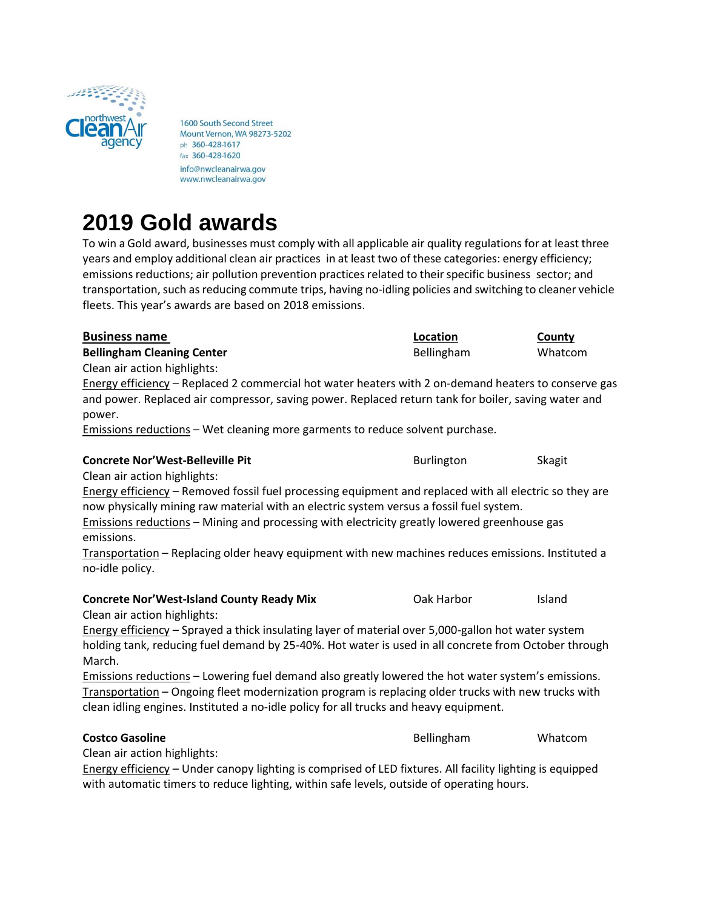

1600 South Second Street Mount Vernon, WA 98273-5202 ph 360-428-1617 fax 360-428-1620 info@nwcleanairwa.gov www.nwcleanairwa.gov

# **2019 Gold awards**

To win a Gold award, businesses must comply with all applicable air quality regulations for at least three years and employ additional clean air practices in at least two of these categories: energy efficiency; emissions reductions; air pollution prevention practices related to their specific business sector; and transportation, such as reducing commute trips, having no-idling policies and switching to cleaner vehicle fleets. This year's awards are based on 2018 emissions.

| <b>Business name</b>                                                                                                                                                                                                                                                                               | Location   | County  |
|----------------------------------------------------------------------------------------------------------------------------------------------------------------------------------------------------------------------------------------------------------------------------------------------------|------------|---------|
| <b>Bellingham Cleaning Center</b>                                                                                                                                                                                                                                                                  | Bellingham | Whatcom |
| Clean air action highlights:                                                                                                                                                                                                                                                                       |            |         |
| Energy efficiency - Replaced 2 commercial hot water heaters with 2 on-demand heaters to conserve gas                                                                                                                                                                                               |            |         |
| and power. Replaced air compressor, saving power. Replaced return tank for boiler, saving water and<br>power.                                                                                                                                                                                      |            |         |
| Emissions reductions - Wet cleaning more garments to reduce solvent purchase.                                                                                                                                                                                                                      |            |         |
| <b>Concrete Nor'West-Belleville Pit</b>                                                                                                                                                                                                                                                            | Burlington | Skagit  |
| Clean air action highlights:                                                                                                                                                                                                                                                                       |            |         |
| Energy efficiency - Removed fossil fuel processing equipment and replaced with all electric so they are<br>now physically mining raw material with an electric system versus a fossil fuel system.                                                                                                 |            |         |
| Emissions reductions – Mining and processing with electricity greatly lowered greenhouse gas<br>emissions.                                                                                                                                                                                         |            |         |
| Transportation - Replacing older heavy equipment with new machines reduces emissions. Instituted a<br>no-idle policy.                                                                                                                                                                              |            |         |
| <b>Concrete Nor'West-Island County Ready Mix</b><br>Clean air action highlights:                                                                                                                                                                                                                   | Oak Harbor | Island  |
| Energy efficiency - Sprayed a thick insulating layer of material over 5,000-gallon hot water system<br>holding tank, reducing fuel demand by 25-40%. Hot water is used in all concrete from October through<br>March.                                                                              |            |         |
| Emissions reductions - Lowering fuel demand also greatly lowered the hot water system's emissions.<br>Transportation - Ongoing fleet modernization program is replacing older trucks with new trucks with<br>clean idling engines. Instituted a no-idle policy for all trucks and heavy equipment. |            |         |
| <b>Costco Gasoline</b>                                                                                                                                                                                                                                                                             | Bellingham | Whatcom |
| Clean air action highlights:                                                                                                                                                                                                                                                                       |            |         |
| Energy efficiency - Under canopy lighting is comprised of LED fixtures. All facility lighting is equipped                                                                                                                                                                                          |            |         |
| with automatic timers to reduce lighting, within safe levels, outside of operating hours.                                                                                                                                                                                                          |            |         |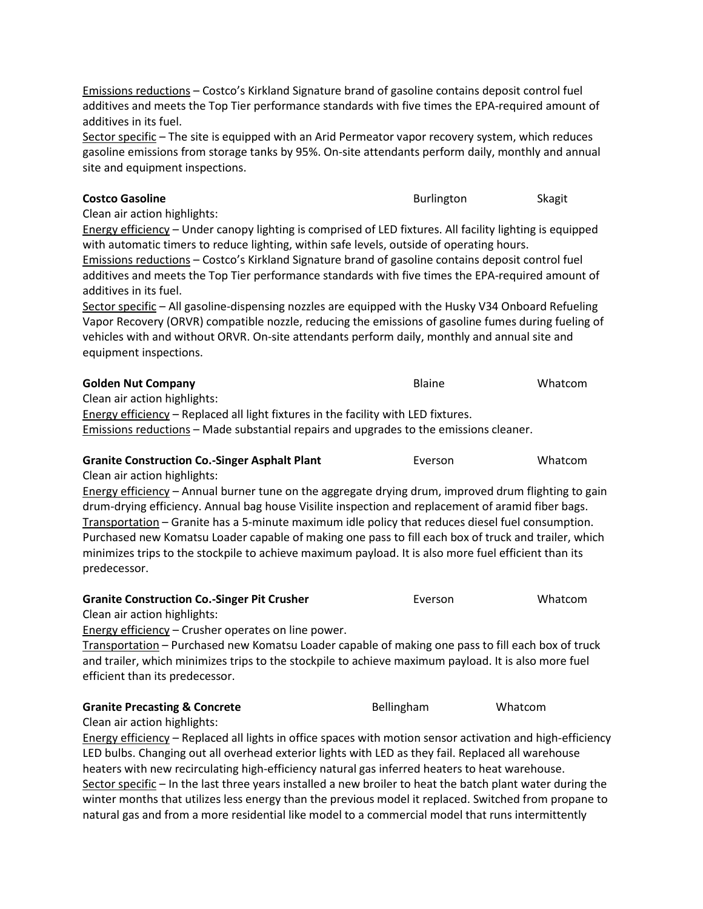Emissions reductions – Costco's Kirkland Signature brand of gasoline contains deposit control fuel additives and meets the Top Tier performance standards with five times the EPA-required amount of additives in its fuel.

Sector specific – The site is equipped with an Arid Permeator vapor recovery system, which reduces gasoline emissions from storage tanks by 95%. On-site attendants perform daily, monthly and annual site and equipment inspections.

#### **Costco Gasoline** Skagit **Burlington** Burlington Skagit

Clean air action highlights:

Energy efficiency – Under canopy lighting is comprised of LED fixtures. All facility lighting is equipped with automatic timers to reduce lighting, within safe levels, outside of operating hours. Emissions reductions – Costco's Kirkland Signature brand of gasoline contains deposit control fuel additives and meets the Top Tier performance standards with five times the EPA-required amount of additives in its fuel.

Sector specific – All gasoline-dispensing nozzles are equipped with the Husky V34 Onboard Refueling Vapor Recovery (ORVR) compatible nozzle, reducing the emissions of gasoline fumes during fueling of vehicles with and without ORVR. On-site attendants perform daily, monthly and annual site and equipment inspections.

#### **Golden Nut Company Blaine** Whatcom

Clean air action highlights:

Energy efficiency – Replaced all light fixtures in the facility with LED fixtures.

Emissions reductions – Made substantial repairs and upgrades to the emissions cleaner.

## **Granite Construction Co.-Singer Asphalt Plant** Everson Everson Whatcom

Clean air action highlights:

Energy efficiency – Annual burner tune on the aggregate drying drum, improved drum flighting to gain drum-drying efficiency. Annual bag house Visilite inspection and replacement of aramid fiber bags. Transportation – Granite has a 5-minute maximum idle policy that reduces diesel fuel consumption. Purchased new Komatsu Loader capable of making one pass to fill each box of truck and trailer, which minimizes trips to the stockpile to achieve maximum payload. It is also more fuel efficient than its predecessor.

#### **Granite Construction Co.-Singer Pit Crusher Example 20 Figures** Everson Whatcom

Clean air action highlights:

Energy efficiency - Crusher operates on line power.

Transportation – Purchased new Komatsu Loader capable of making one pass to fill each box of truck and trailer, which minimizes trips to the stockpile to achieve maximum payload. It is also more fuel efficient than its predecessor.

#### **Granite Precasting & Concrete Bellingham** Whatcom

Clean air action highlights:

Energy efficiency – Replaced all lights in office spaces with motion sensor activation and high-efficiency LED bulbs. Changing out all overhead exterior lights with LED as they fail. Replaced all warehouse heaters with new recirculating high-efficiency natural gas inferred heaters to heat warehouse. Sector specific – In the last three years installed a new broiler to heat the batch plant water during the winter months that utilizes less energy than the previous model it replaced. Switched from propane to natural gas and from a more residential like model to a commercial model that runs intermittently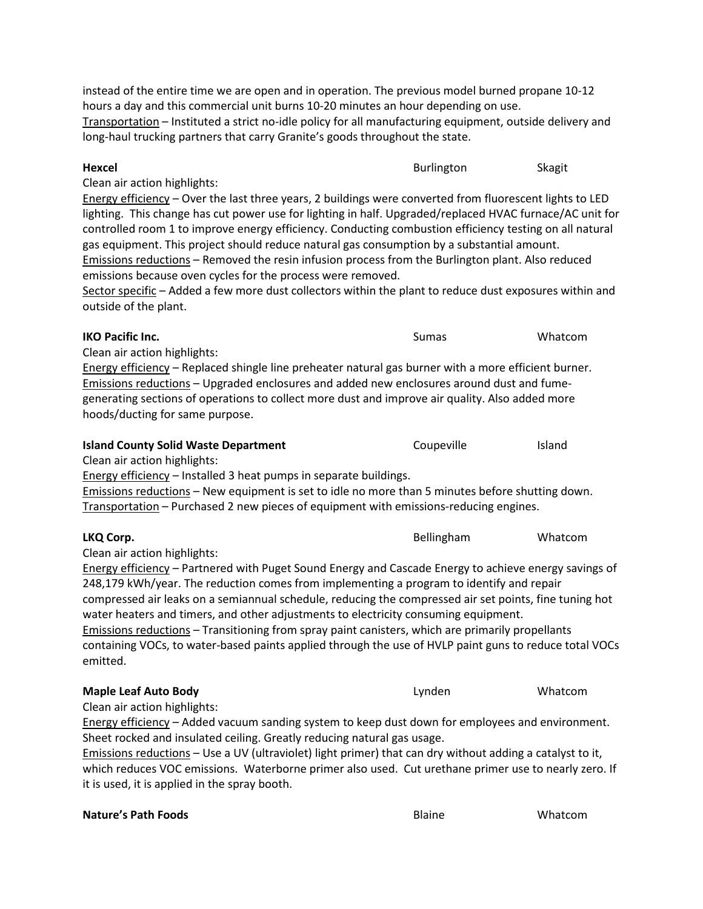## **Hexcel** Skagit **Hexcel** Burlington Skagit

Clean air action highlights:

Energy efficiency – Over the last three years, 2 buildings were converted from fluorescent lights to LED lighting. This change has cut power use for lighting in half. Upgraded/replaced HVAC furnace/AC unit for controlled room 1 to improve energy efficiency. Conducting combustion efficiency testing on all natural gas equipment. This project should reduce natural gas consumption by a substantial amount. Emissions reductions – Removed the resin infusion process from the Burlington plant. Also reduced emissions because oven cycles for the process were removed.

Sector specific – Added a few more dust collectors within the plant to reduce dust exposures within and outside of the plant.

## **IKO Pacific Inc.** Sumas Sumas Whatcom Clean air action highlights: Energy efficiency – Replaced shingle line preheater natural gas burner with a more efficient burner. Emissions reductions – Upgraded enclosures and added new enclosures around dust and fumegenerating sections of operations to collect more dust and improve air quality. Also added more hoods/ducting for same purpose.

| <b>Island County Solid Waste Department</b>                                                      | Coupeville | <b>Island</b> |
|--------------------------------------------------------------------------------------------------|------------|---------------|
| Clean air action highlights:                                                                     |            |               |
| Energy efficiency – Installed 3 heat pumps in separate buildings.                                |            |               |
| Emissions reductions – New equipment is set to idle no more than 5 minutes before shutting down. |            |               |
|                                                                                                  |            |               |

Transportation – Purchased 2 new pieces of equipment with emissions-reducing engines.

## **LKQ Corp.** Whatcom **COVID-100** CONSERVITY Bellingham Whatcom

Clean air action highlights:

Energy efficiency – Partnered with Puget Sound Energy and Cascade Energy to achieve energy savings of 248,179 kWh/year. The reduction comes from implementing a program to identify and repair compressed air leaks on a semiannual schedule, reducing the compressed air set points, fine tuning hot water heaters and timers, and other adjustments to electricity consuming equipment. Emissions reductions – Transitioning from spray paint canisters, which are primarily propellants

containing VOCs, to water-based paints applied through the use of HVLP paint guns to reduce total VOCs emitted.

## **Maple Leaf Auto Body Lynden** Lynden Whatcom

Clean air action highlights:

Energy efficiency – Added vacuum sanding system to keep dust down for employees and environment. Sheet rocked and insulated ceiling. Greatly reducing natural gas usage.

Emissions reductions – Use a UV (ultraviolet) light primer) that can dry without adding a catalyst to it, which reduces VOC emissions. Waterborne primer also used. Cut urethane primer use to nearly zero. If it is used, it is applied in the spray booth.

## **Nature's Path Foods Blaine** Whatcom **CONS**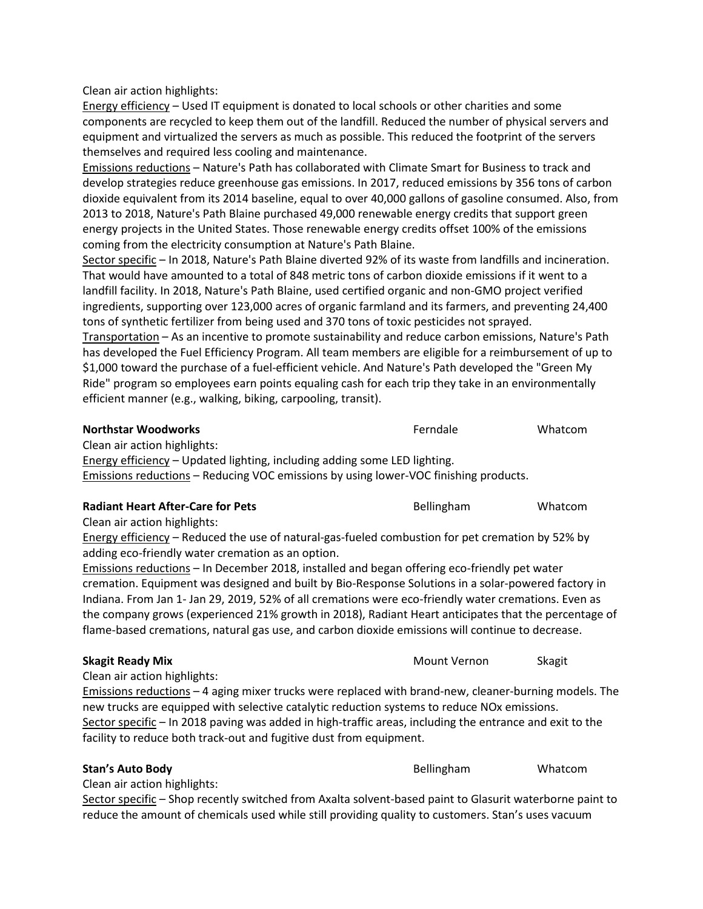Clean air action highlights:

Energy efficiency – Used IT equipment is donated to local schools or other charities and some components are recycled to keep them out of the landfill. Reduced the number of physical servers and equipment and virtualized the servers as much as possible. This reduced the footprint of the servers themselves and required less cooling and maintenance.

Emissions reductions – Nature's Path has collaborated with Climate Smart for Business to track and develop strategies reduce greenhouse gas emissions. In 2017, reduced emissions by 356 tons of carbon dioxide equivalent from its 2014 baseline, equal to over 40,000 gallons of gasoline consumed. Also, from 2013 to 2018, Nature's Path Blaine purchased 49,000 renewable energy credits that support green energy projects in the United States. Those renewable energy credits offset 100% of the emissions coming from the electricity consumption at Nature's Path Blaine.

Sector specific – In 2018, Nature's Path Blaine diverted 92% of its waste from landfills and incineration. That would have amounted to a total of 848 metric tons of carbon dioxide emissions if it went to a landfill facility. In 2018, Nature's Path Blaine, used certified organic and non-GMO project verified ingredients, supporting over 123,000 acres of organic farmland and its farmers, and preventing 24,400 tons of synthetic fertilizer from being used and 370 tons of toxic pesticides not sprayed.

Transportation – As an incentive to promote sustainability and reduce carbon emissions, Nature's Path has developed the Fuel Efficiency Program. All team members are eligible for a reimbursement of up to \$1,000 toward the purchase of a fuel-efficient vehicle. And Nature's Path developed the "Green My Ride" program so employees earn points equaling cash for each trip they take in an environmentally efficient manner (e.g., walking, biking, carpooling, transit).

| <b>Northstar Woodworks</b>                                                           | Ferndale          | Whatcom |
|--------------------------------------------------------------------------------------|-------------------|---------|
| Clean air action highlights:                                                         |                   |         |
| Energy efficiency – Updated lighting, including adding some LED lighting.            |                   |         |
| Emissions reductions - Reducing VOC emissions by using lower-VOC finishing products. |                   |         |
|                                                                                      |                   |         |
| <b>Radiant Heart After-Care for Pets</b>                                             | <b>Bellingham</b> | Whatcom |

Clean air action highlights:

Energy efficiency – Reduced the use of natural-gas-fueled combustion for pet cremation by 52% by adding eco-friendly water cremation as an option.

Emissions reductions – In December 2018, installed and began offering eco-friendly pet water cremation. Equipment was designed and built by Bio-Response Solutions in a solar-powered factory in Indiana. From Jan 1- Jan 29, 2019, 52% of all cremations were eco-friendly water cremations. Even as the company grows (experienced 21% growth in 2018), Radiant Heart anticipates that the percentage of flame-based cremations, natural gas use, and carbon dioxide emissions will continue to decrease.

## **Skagit Ready Mix** Mount Vernon Skagit Nearly Mount Vernon Skagit

Clean air action highlights:

Emissions reductions – 4 aging mixer trucks were replaced with brand-new, cleaner-burning models. The new trucks are equipped with selective catalytic reduction systems to reduce NOx emissions. Sector specific – In 2018 paving was added in high-traffic areas, including the entrance and exit to the facility to reduce both track-out and fugitive dust from equipment.

#### **Stan's Auto Body Bellingham** Whatcom

Clean air action highlights:

Sector specific – Shop recently switched from Axalta solvent-based paint to Glasurit waterborne paint to reduce the amount of chemicals used while still providing quality to customers. Stan's uses vacuum